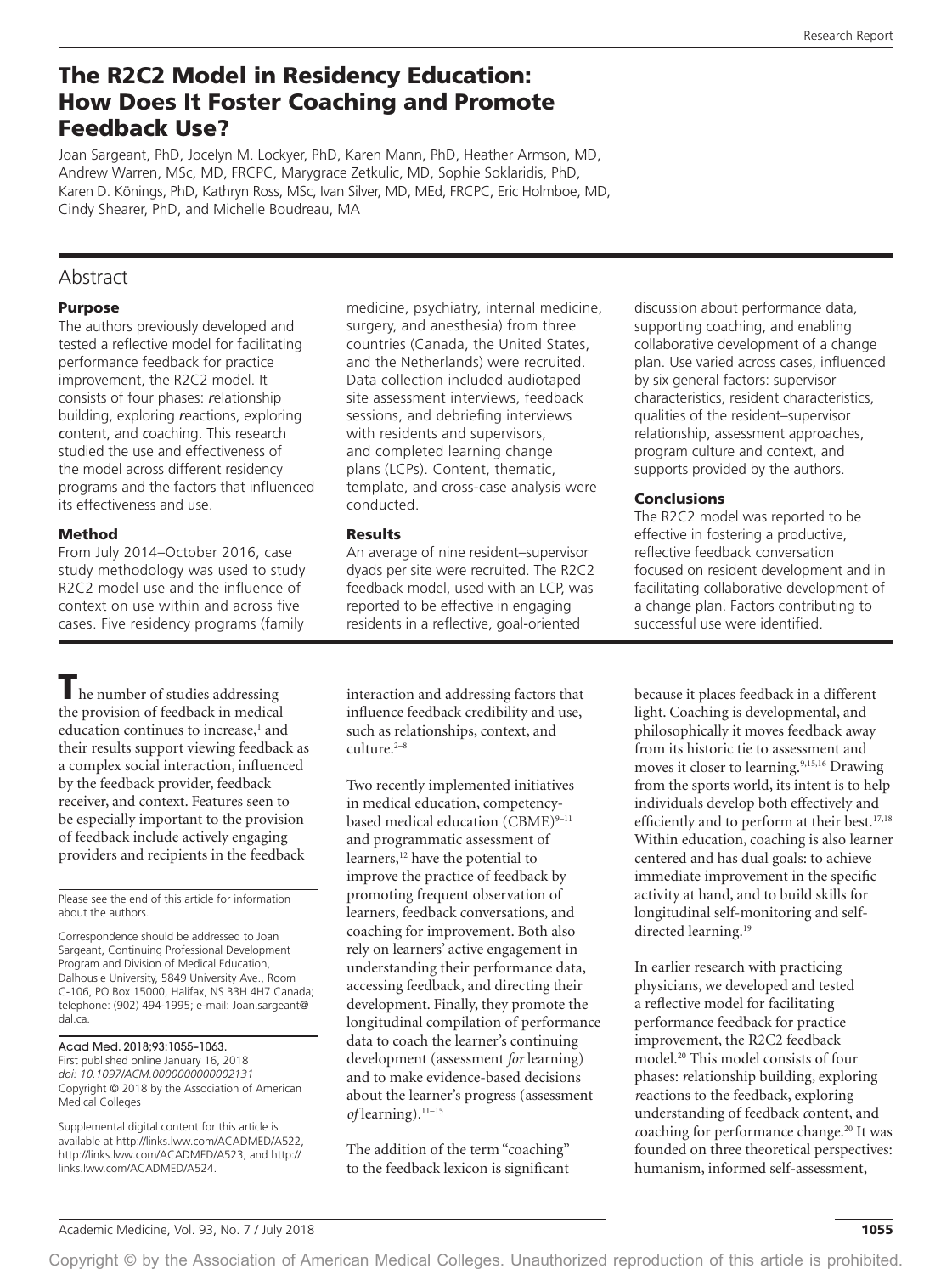# The R2C2 Model in Residency Education: How Does It Foster Coaching and Promote Feedback Use?

Joan Sargeant, PhD, Jocelyn M. Lockyer, PhD, Karen Mann, PhD, Heather Armson, MD, Andrew Warren, MSc, MD, FRCPC, Marygrace Zetkulic, MD, Sophie Soklaridis, PhD, Karen D. Könings, PhD, Kathryn Ross, MSc, Ivan Silver, MD, MEd, FRCPC, Eric Holmboe, MD, Cindy Shearer, PhD, and Michelle Boudreau, MA

# Abstract

#### Purpose

The authors previously developed and tested a reflective model for facilitating performance feedback for practice improvement, the R2C2 model. It consists of four phases: *r*elationship building, exploring *r*eactions, exploring *c*ontent, and *c*oaching. This research studied the use and effectiveness of the model across different residency programs and the factors that influenced its effectiveness and use.

### Method

From July 2014–October 2016, case study methodology was used to study R2C2 model use and the influence of context on use within and across five cases. Five residency programs (family

The number of studies addressing the provision of feedback in medical education continues to increase,<sup>1</sup> and their results support viewing feedback as a complex social interaction, influenced by the feedback provider, feedback receiver, and context. Features seen to be especially important to the provision of feedback include actively engaging providers and recipients in the feedback

Please see the end of this article for information about the authors.

Correspondence should be addressed to Joan Sargeant, Continuing Professional Development Program and Division of Medical Education, Dalhousie University, 5849 University Ave., Room C-106, PO Box 15000, Halifax, NS B3H 4H7 Canada; telephone: (902) 494-1995; e-mail: [Joan.sargeant@](mailto:Joan.sargeant@dal.ca) [dal.ca](mailto:Joan.sargeant@dal.ca).

#### Acad Med. 2018;93:1055–1063.

Copyright © 2018 by the Association of American Medical Colleges First published online January 16, 2018 *doi: 10.1097/ACM.0000000000002131*

Supplemental digital content for this article is available at [http://links.lww.com/ACADMED/A522,](http://links.lww.com/ACADMED/A522)  [http://links.lww.com/ACADMED/A523,](http://links.lww.com/ACADMED/A523) and [http://](http://links.lww.com/ACADMED/A524) [links.lww.com/ACADMED/A524](http://links.lww.com/ACADMED/A524).

medicine, psychiatry, internal medicine, surgery, and anesthesia) from three countries (Canada, the United States, and the Netherlands) were recruited. Data collection included audiotaped site assessment interviews, feedback sessions, and debriefing interviews with residents and supervisors, and completed learning change plans (LCPs). Content, thematic, template, and cross-case analysis were conducted.

#### Results

An average of nine resident–supervisor dyads per site were recruited. The R2C2 feedback model, used with an LCP, was reported to be effective in engaging residents in a reflective, goal-oriented

interaction and addressing factors that influence feedback credibility and use, such as relationships, context, and culture.2–8

Two recently implemented initiatives in medical education, competencybased medical education (CBME)<sup>9-11</sup> and programmatic assessment of learners,<sup>12</sup> have the potential to improve the practice of feedback by promoting frequent observation of learners, feedback conversations, and coaching for improvement. Both also rely on learners' active engagement in understanding their performance data, accessing feedback, and directing their development. Finally, they promote the longitudinal compilation of performance data to coach the learner's continuing development (assessment *for* learning) and to make evidence-based decisions about the learner's progress (assessment *of* learning).11–15

The addition of the term "coaching" to the feedback lexicon is significant discussion about performance data, supporting coaching, and enabling collaborative development of a change plan. Use varied across cases, influenced by six general factors: supervisor characteristics, resident characteristics, qualities of the resident–supervisor relationship, assessment approaches, program culture and context, and supports provided by the authors.

### Conclusions

The R2C2 model was reported to be effective in fostering a productive, reflective feedback conversation focused on resident development and in facilitating collaborative development of a change plan. Factors contributing to successful use were identified.

because it places feedback in a different light. Coaching is developmental, and philosophically it moves feedback away from its historic tie to assessment and moves it closer to learning.<sup>9,15,16</sup> Drawing from the sports world, its intent is to help individuals develop both effectively and efficiently and to perform at their best.<sup>17,18</sup> Within education, coaching is also learner centered and has dual goals: to achieve immediate improvement in the specific activity at hand, and to build skills for longitudinal self-monitoring and selfdirected learning.<sup>19</sup>

In earlier research with practicing physicians, we developed and tested a reflective model for facilitating performance feedback for practice improvement, the R2C2 feedback model.20 This model consists of four phases: *r*elationship building, exploring *r*eactions to the feedback, exploring understanding of feedback *c*ontent, and *coaching for performance change.<sup>20</sup> It was* founded on three theoretical perspectives: humanism, informed self-assessment,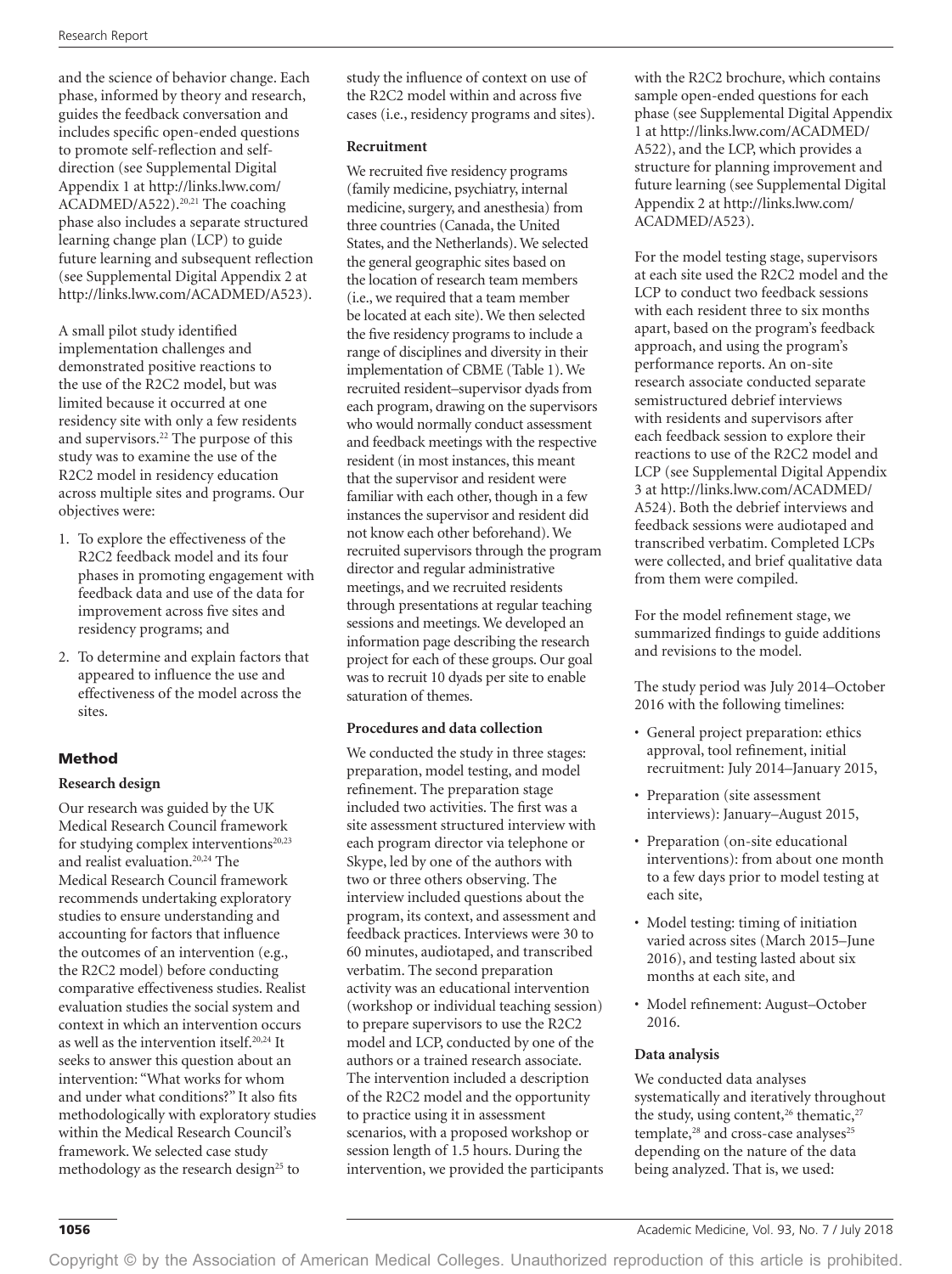and the science of behavior change. Each phase, informed by theory and research, guides the feedback conversation and includes specific open-ended questions to promote self-reflection and selfdirection (see Supplemental Digital Appendix 1 at [http://links.lww.com/](http://links.lww.com/ACADMED/A522) [ACADMED/A522\)](http://links.lww.com/ACADMED/A522).<sup>20,21</sup> The coaching phase also includes a separate structured learning change plan (LCP) to guide future learning and subsequent reflection (see Supplemental Digital Appendix 2 at <http://links.lww.com/ACADMED/A523>).

A small pilot study identified implementation challenges and demonstrated positive reactions to the use of the R2C2 model, but was limited because it occurred at one residency site with only a few residents and supervisors.22 The purpose of this study was to examine the use of the R2C2 model in residency education across multiple sites and programs. Our objectives were:

- 1. To explore the effectiveness of the R2C2 feedback model and its four phases in promoting engagement with feedback data and use of the data for improvement across five sites and residency programs; and
- 2. To determine and explain factors that appeared to influence the use and effectiveness of the model across the sites.

### Method

#### **Research design**

Our research was guided by the UK Medical Research Council framework for studying complex interventions $20,23$ and realist evaluation.20,24 The Medical Research Council framework recommends undertaking exploratory studies to ensure understanding and accounting for factors that influence the outcomes of an intervention (e.g., the R2C2 model) before conducting comparative effectiveness studies. Realist evaluation studies the social system and context in which an intervention occurs as well as the intervention itself.20,24 It seeks to answer this question about an intervention: "What works for whom and under what conditions?" It also fits methodologically with exploratory studies within the Medical Research Council's framework. We selected case study methodology as the research design<sup>25</sup> to

study the influence of context on use of the R2C2 model within and across five cases (i.e., residency programs and sites).

#### **Recruitment**

We recruited five residency programs (family medicine, psychiatry, internal medicine, surgery, and anesthesia) from three countries (Canada, the United States, and the Netherlands). We selected the general geographic sites based on the location of research team members (i.e., we required that a team member be located at each site). We then selected the five residency programs to include a range of disciplines and diversity in their implementation of CBME (Table 1). We recruited resident–supervisor dyads from each program, drawing on the supervisors who would normally conduct assessment and feedback meetings with the respective resident (in most instances, this meant that the supervisor and resident were familiar with each other, though in a few instances the supervisor and resident did not know each other beforehand). We recruited supervisors through the program director and regular administrative meetings, and we recruited residents through presentations at regular teaching sessions and meetings. We developed an information page describing the research project for each of these groups. Our goal was to recruit 10 dyads per site to enable saturation of themes.

#### **Procedures and data collection**

We conducted the study in three stages: preparation, model testing, and model refinement. The preparation stage included two activities. The first was a site assessment structured interview with each program director via telephone or Skype, led by one of the authors with two or three others observing. The interview included questions about the program, its context, and assessment and feedback practices. Interviews were 30 to 60 minutes, audiotaped, and transcribed verbatim. The second preparation activity was an educational intervention (workshop or individual teaching session) to prepare supervisors to use the R2C2 model and LCP, conducted by one of the authors or a trained research associate. The intervention included a description of the R2C2 model and the opportunity to practice using it in assessment scenarios, with a proposed workshop or session length of 1.5 hours. During the intervention, we provided the participants with the R2C2 brochure, which contains sample open-ended questions for each phase (see Supplemental Digital Appendix 1 at [http://links.lww.com/ACADMED/](http://links.lww.com/ACADMED/A522) [A522\)](http://links.lww.com/ACADMED/A522), and the LCP, which provides a structure for planning improvement and future learning (see Supplemental Digital Appendix 2 at [http://links.lww.com/](http://links.lww.com/ACADMED/A523) [ACADMED/A523](http://links.lww.com/ACADMED/A523)).

For the model testing stage, supervisors at each site used the R2C2 model and the LCP to conduct two feedback sessions with each resident three to six months apart, based on the program's feedback approach, and using the program's performance reports. An on-site research associate conducted separate semistructured debrief interviews with residents and supervisors after each feedback session to explore their reactions to use of the R2C2 model and LCP (see Supplemental Digital Appendix 3 at [http://links.lww.com/ACADMED/](http://links.lww.com/ACADMED/A524) [A524\)](http://links.lww.com/ACADMED/A524). Both the debrief interviews and feedback sessions were audiotaped and transcribed verbatim. Completed LCPs were collected, and brief qualitative data from them were compiled.

For the model refinement stage, we summarized findings to guide additions and revisions to the model.

The study period was July 2014–October 2016 with the following timelines:

- General project preparation: ethics approval, tool refinement, initial recruitment: July 2014–January 2015,
- Preparation (site assessment interviews): January–August 2015,
- Preparation (on-site educational interventions): from about one month to a few days prior to model testing at each site,
- Model testing: timing of initiation varied across sites (March 2015–June 2016), and testing lasted about six months at each site, and
- Model refinement: August–October 2016.

#### **Data analysis**

We conducted data analyses systematically and iteratively throughout the study, using content,<sup>26</sup> thematic,<sup>27</sup>  $template$ <sup>28</sup> and cross-case analyses<sup>25</sup> depending on the nature of the data being analyzed. That is, we used: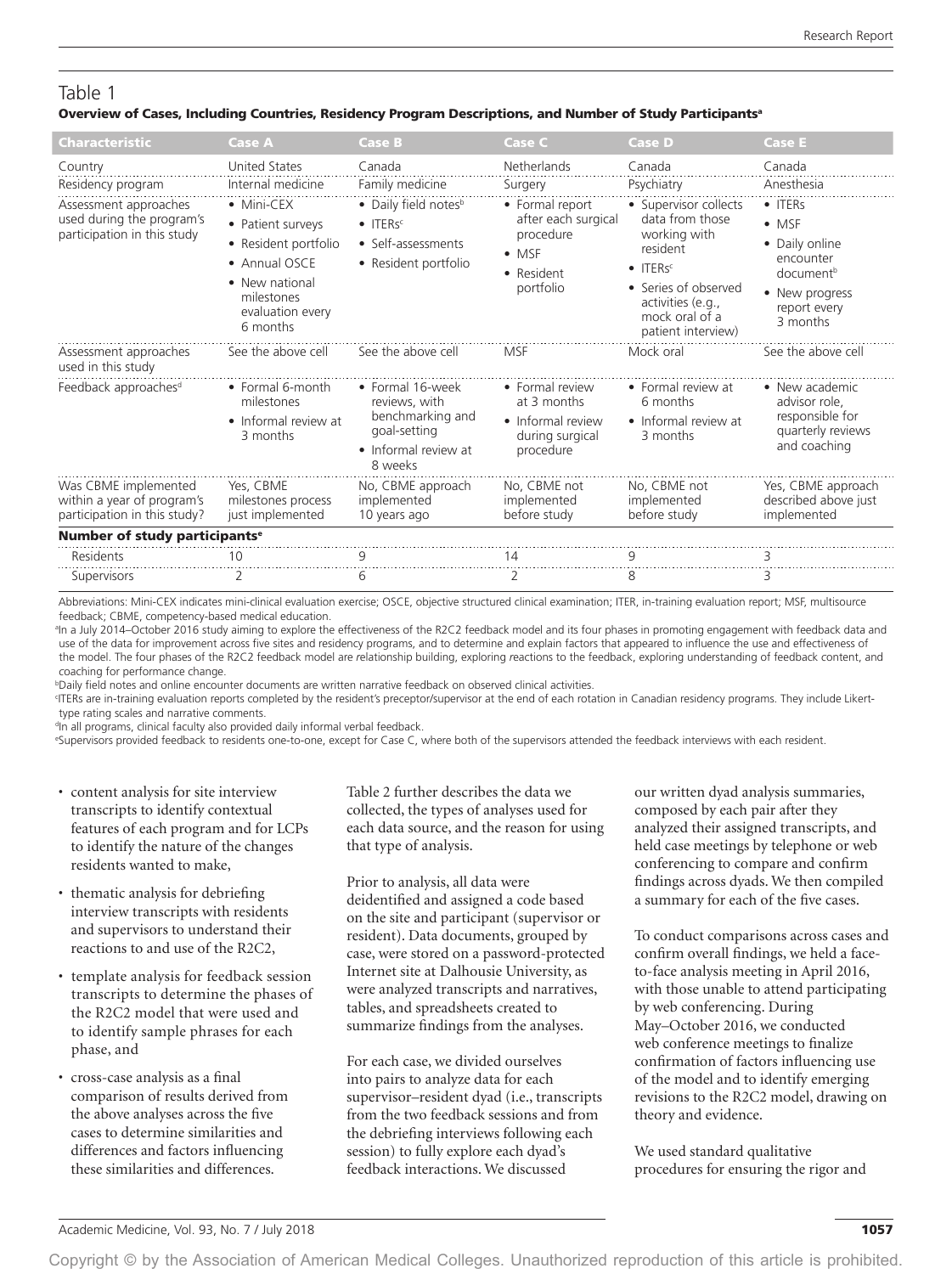# Table 1

#### Overview of Cases, Including Countries, Residency Program Descriptions, and Number of Study Participants<sup>a</sup>

| Characteristic                                                                     | <b>Case A</b>                                                                                                                            | <b>Case B</b>                                                                                                  | Case C                                                                                          | Case D                                                                                                                                                              | <b>Case E</b>                                                                                                                          |
|------------------------------------------------------------------------------------|------------------------------------------------------------------------------------------------------------------------------------------|----------------------------------------------------------------------------------------------------------------|-------------------------------------------------------------------------------------------------|---------------------------------------------------------------------------------------------------------------------------------------------------------------------|----------------------------------------------------------------------------------------------------------------------------------------|
| Country                                                                            | <b>United States</b>                                                                                                                     | Canada                                                                                                         | Netherlands                                                                                     | Canada                                                                                                                                                              | Canada                                                                                                                                 |
| Residency program                                                                  | Internal medicine                                                                                                                        | Family medicine                                                                                                | Surgery                                                                                         | Psychiatry                                                                                                                                                          | Anesthesia                                                                                                                             |
| Assessment approaches<br>used during the program's<br>participation in this study  | • Mini-CEX<br>• Patient surveys<br>• Resident portfolio<br>• Annual OSCE<br>• New national<br>milestones<br>evaluation every<br>6 months | • Daily field notes <sup>b</sup><br>$\bullet$ ITERs <sup>c</sup><br>• Self-assessments<br>• Resident portfolio | • Formal report<br>after each surgical<br>procedure<br>$\bullet$ MSF<br>• Resident<br>portfolio | • Supervisor collects<br>data from those<br>working with<br>resident<br>$\bullet$ ITERs <sup>c</sup><br>• Series of observed<br>activities (e.g.,<br>mock oral of a | $\bullet$ ITERs<br>$\bullet$ MSF<br>• Daily online<br>encounter<br>document <sup>b</sup><br>• New progress<br>report every<br>3 months |
| Assessment approaches<br>used in this study                                        | See the above cell                                                                                                                       | See the above cell                                                                                             | <b>MSF</b>                                                                                      | patient interview)<br>Mock oral                                                                                                                                     | See the above cell                                                                                                                     |
| Feedback approaches <sup>d</sup>                                                   | • Formal 6-month<br>milestones<br>• Informal review at<br>3 months                                                                       | • Formal 16-week<br>reviews, with<br>benchmarking and<br>goal-setting<br>• Informal review at<br>8 weeks       | • Formal review<br>at 3 months<br>• Informal review<br>during surgical<br>procedure             | • Formal review at<br>6 months<br>• Informal review at<br>3 months                                                                                                  | • New academic<br>advisor role.<br>responsible for<br>quarterly reviews<br>and coaching                                                |
| Was CBME implemented<br>within a year of program's<br>participation in this study? | Yes. CBME<br>milestones process<br>just implemented                                                                                      | No, CBME approach<br>implemented<br>10 years ago                                                               | No, CBME not<br>implemented<br>before study                                                     | No, CBME not<br>implemented<br>before study                                                                                                                         | Yes, CBME approach<br>described above just<br>implemented                                                                              |
| Number of study participants <sup>e</sup>                                          |                                                                                                                                          |                                                                                                                |                                                                                                 |                                                                                                                                                                     |                                                                                                                                        |
| <b>Residents</b>                                                                   | 10                                                                                                                                       | q                                                                                                              | 14                                                                                              | 9                                                                                                                                                                   |                                                                                                                                        |
| Supervisors                                                                        | 2                                                                                                                                        | 6                                                                                                              | 2                                                                                               | 8                                                                                                                                                                   | З                                                                                                                                      |

 Abbreviations: Mini-CEX indicates mini-clinical evaluation exercise; OSCE, objective structured clinical examination; ITER, in-training evaluation report; MSF, multisource feedback; CBME, competency-based medical education.

a In a July 2014–October 2016 study aiming to explore the effectiveness of the R2C2 feedback model and its four phases in promoting engagement with feedback data and use of the data for improvement across five sites and residency programs, and to determine and explain factors that appeared to influence the use and effectiveness of the model. The four phases of the R2C2 feedback model are *r*elationship building, exploring *r*eactions to the feedback, exploring understanding of feedback *c*ontent, and *c*oaching for performance change.

b Daily field notes and online encounter documents are written narrative feedback on observed clinical activities.

c ITERs are in-training evaluation reports completed by the resident's preceptor/supervisor at the end of each rotation in Canadian residency programs. They include Likerttype rating scales and narrative comments.

<sup>d</sup>In all programs, clinical faculty also provided daily informal verbal feedback.

e Supervisors provided feedback to residents one-to-one, except for Case C, where both of the supervisors attended the feedback interviews with each resident.

- content analysis for site interview transcripts to identify contextual features of each program and for LCPs to identify the nature of the changes residents wanted to make,
- thematic analysis for debriefing interview transcripts with residents and supervisors to understand their reactions to and use of the R2C2,
- template analysis for feedback session transcripts to determine the phases of the R2C2 model that were used and to identify sample phrases for each phase, and
- cross-case analysis as a final comparison of results derived from the above analyses across the five cases to determine similarities and differences and factors influencing these similarities and differences.

Table 2 further describes the data we collected, the types of analyses used for each data source, and the reason for using that type of analysis.

Prior to analysis, all data were deidentified and assigned a code based on the site and participant (supervisor or resident). Data documents, grouped by case, were stored on a password-protected Internet site at Dalhousie University, as were analyzed transcripts and narratives, tables, and spreadsheets created to summarize findings from the analyses.

For each case, we divided ourselves into pairs to analyze data for each supervisor–resident dyad (i.e., transcripts from the two feedback sessions and from the debriefing interviews following each session) to fully explore each dyad's feedback interactions. We discussed

our written dyad analysis summaries, composed by each pair after they analyzed their assigned transcripts, and held case meetings by telephone or web conferencing to compare and confirm findings across dyads. We then compiled a summary for each of the five cases.

To conduct comparisons across cases and confirm overall findings, we held a faceto-face analysis meeting in April 2016, with those unable to attend participating by web conferencing. During May–October 2016, we conducted web conference meetings to finalize confirmation of factors influencing use of the model and to identify emerging revisions to the R2C2 model, drawing on theory and evidence.

We used standard qualitative procedures for ensuring the rigor and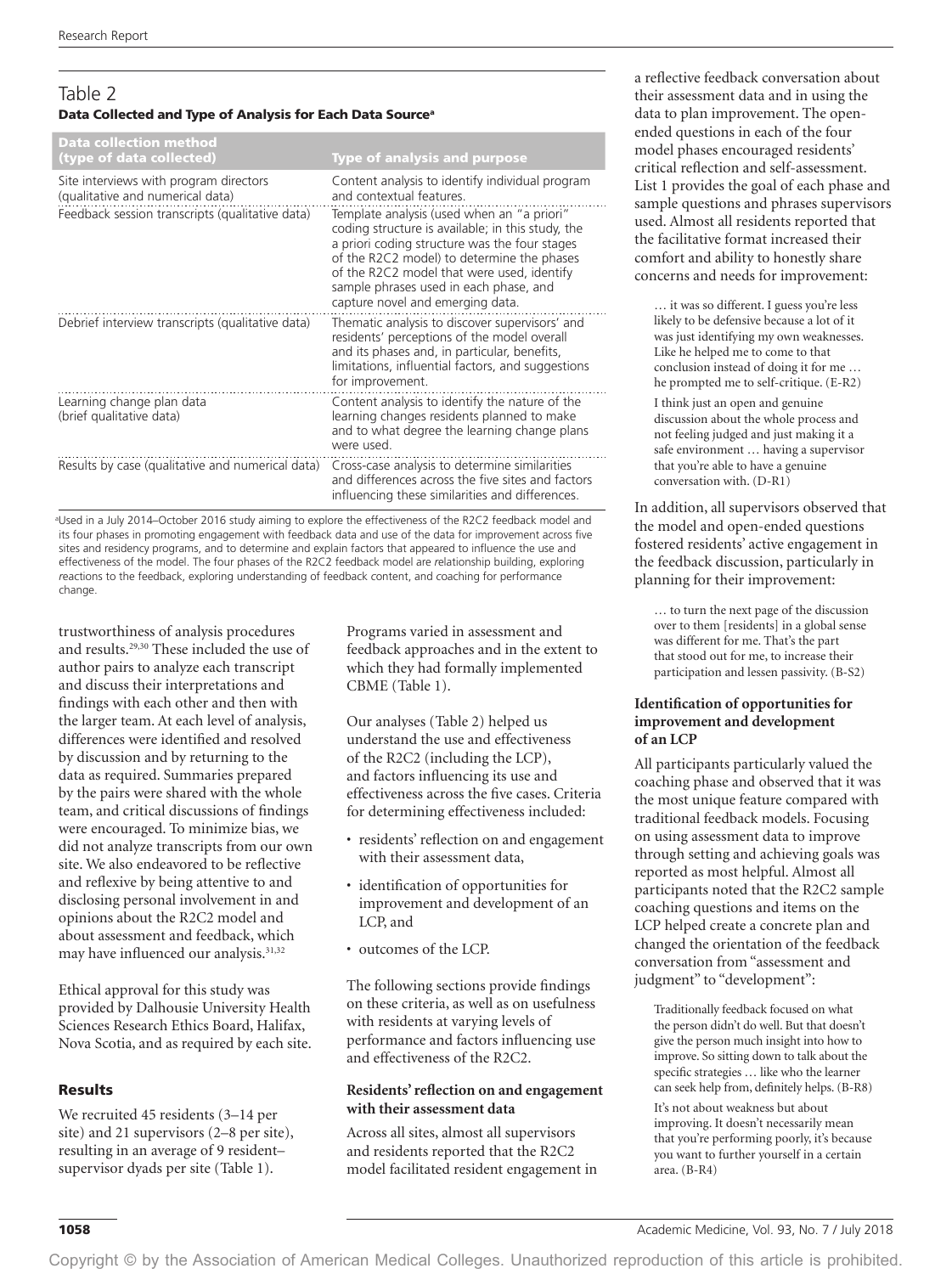# Table 2 Data Collected and Type of Analysis for Each Data Source<sup>a</sup>

| Data collection method<br>(type of data collected)                         | <b>Type of analysis and purpose</b>                                                                                                                                                                                                                                                                                        |
|----------------------------------------------------------------------------|----------------------------------------------------------------------------------------------------------------------------------------------------------------------------------------------------------------------------------------------------------------------------------------------------------------------------|
| Site interviews with program directors<br>(qualitative and numerical data) | Content analysis to identify individual program<br>and contextual features.                                                                                                                                                                                                                                                |
| Feedback session transcripts (qualitative data)                            | Template analysis (used when an "a priori"<br>coding structure is available; in this study, the<br>a priori coding structure was the four stages<br>of the R2C2 model) to determine the phases<br>of the R2C2 model that were used, identify<br>sample phrases used in each phase, and<br>capture novel and emerging data. |
| Debrief interview transcripts (qualitative data)                           | Thematic analysis to discover supervisors' and<br>residents' perceptions of the model overall<br>and its phases and, in particular, benefits,<br>limitations, influential factors, and suggestions<br>for improvement.                                                                                                     |
| Learning change plan data<br>(brief qualitative data)                      | Content analysis to identify the nature of the<br>learning changes residents planned to make<br>and to what degree the learning change plans<br>were used.                                                                                                                                                                 |
| Results by case (qualitative and numerical data)                           | Cross-case analysis to determine similarities<br>and differences across the five sites and factors<br>influencing these similarities and differences.                                                                                                                                                                      |

a Used in a July 2014–October 2016 study aiming to explore the effectiveness of the R2C2 feedback model and its four phases in promoting engagement with feedback data and use of the data for improvement across five sites and residency programs, and to determine and explain factors that appeared to influence the use and effectiveness of the model. The four phases of the R2C2 feedback model are *r*elationship building, exploring *r*eactions to the feedback, exploring understanding of feedback *c*ontent, and *c*oaching for performance change.

trustworthiness of analysis procedures and results.29,30 These included the use of author pairs to analyze each transcript and discuss their interpretations and findings with each other and then with the larger team. At each level of analysis, differences were identified and resolved by discussion and by returning to the data as required. Summaries prepared by the pairs were shared with the whole team, and critical discussions of findings were encouraged. To minimize bias, we did not analyze transcripts from our own site. We also endeavored to be reflective and reflexive by being attentive to and disclosing personal involvement in and opinions about the R2C2 model and about assessment and feedback, which may have influenced our analysis.<sup>31,32</sup>

Ethical approval for this study was provided by Dalhousie University Health Sciences Research Ethics Board, Halifax, Nova Scotia, and as required by each site.

#### Results

We recruited 45 residents (3–14 per site) and 21 supervisors (2–8 per site), resulting in an average of 9 resident– supervisor dyads per site (Table 1).

Programs varied in assessment and feedback approaches and in the extent to which they had formally implemented CBME (Table 1).

Our analyses (Table 2) helped us understand the use and effectiveness of the R2C2 (including the LCP), and factors influencing its use and effectiveness across the five cases. Criteria for determining effectiveness included:

- residents' reflection on and engagement with their assessment data,
- identification of opportunities for improvement and development of an LCP, and
- outcomes of the LCP.

The following sections provide findings on these criteria, as well as on usefulness with residents at varying levels of performance and factors influencing use and effectiveness of the R2C2.

#### **Residents' reflection on and engagement with their assessment data**

Across all sites, almost all supervisors and residents reported that the R2C2 model facilitated resident engagement in a reflective feedback conversation about their assessment data and in using the data to plan improvement. The openended questions in each of the four model phases encouraged residents' critical reflection and self-assessment. List 1 provides the goal of each phase and sample questions and phrases supervisors used. Almost all residents reported that the facilitative format increased their comfort and ability to honestly share concerns and needs for improvement:

… it was so different. I guess you're less likely to be defensive because a lot of it was just identifying my own weaknesses. Like he helped me to come to that conclusion instead of doing it for me … he prompted me to self-critique. (E-R2)

I think just an open and genuine discussion about the whole process and not feeling judged and just making it a safe environment … having a supervisor that you're able to have a genuine conversation with. (D-R1)

In addition, all supervisors observed that the model and open-ended questions fostered residents' active engagement in the feedback discussion, particularly in planning for their improvement:

… to turn the next page of the discussion over to them [residents] in a global sense was different for me. That's the part that stood out for me, to increase their participation and lessen passivity. (B-S2)

#### **Identification of opportunities for improvement and development of an LCP**

All participants particularly valued the coaching phase and observed that it was the most unique feature compared with traditional feedback models. Focusing on using assessment data to improve through setting and achieving goals was reported as most helpful. Almost all participants noted that the R2C2 sample coaching questions and items on the LCP helped create a concrete plan and changed the orientation of the feedback conversation from "assessment and judgment" to "development":

Traditionally feedback focused on what the person didn't do well. But that doesn't give the person much insight into how to improve. So sitting down to talk about the specific strategies … like who the learner can seek help from, definitely helps. (B-R8)

It's not about weakness but about improving. It doesn't necessarily mean that you're performing poorly, it's because you want to further yourself in a certain area. (B-R4)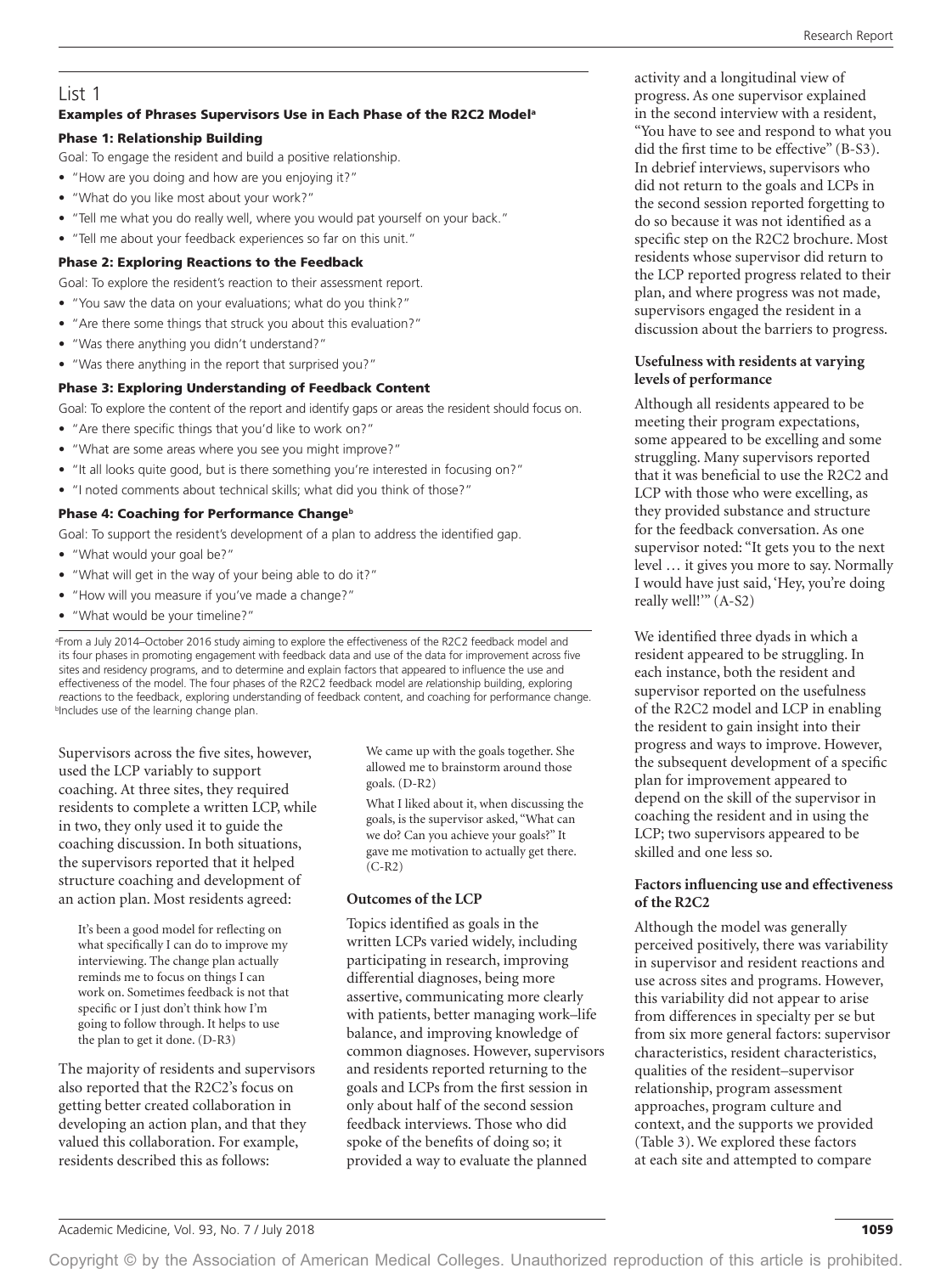# List 1

#### Examples of Phrases Supervisors Use in Each Phase of the R2C2 Modela

#### Phase 1: Relationship Building

Goal: To engage the resident and build a positive relationship.

- "How are you doing and how are you enjoying it?"
- "What do you like most about your work?"
- "Tell me what you do really well, where you would pat yourself on your back."
- "Tell me about your feedback experiences so far on this unit."

#### Phase 2: Exploring Reactions to the Feedback

Goal: To explore the resident's reaction to their assessment report.

- "You saw the data on your evaluations; what do you think?"
- "Are there some things that struck you about this evaluation?"
- "Was there anything you didn't understand?"
- "Was there anything in the report that surprised you?"

#### Phase 3: Exploring Understanding of Feedback Content

Goal: To explore the content of the report and identify gaps or areas the resident should focus on.

- "Are there specific things that you'd like to work on?"
- "What are some areas where you see you might improve?"
- "It all looks quite good, but is there something you're interested in focusing on?"
- "I noted comments about technical skills; what did you think of those?"

#### Phase 4: Coaching for Performance Change<sup>b</sup>

Goal: To support the resident's development of a plan to address the identified gap.

- "What would your goal be?"
- "What will get in the way of your being able to do it?"
- "How will you measure if you've made a change?"
- "What would be your timeline?"

a From a July 2014–October 2016 study aiming to explore the effectiveness of the R2C2 feedback model and its four phases in promoting engagement with feedback data and use of the data for improvement across five sites and residency programs, and to determine and explain factors that appeared to influence the use and effectiveness of the model. The four phases of the R2C2 feedback model are *r*elationship building, exploring *r*eactions to the feedback, exploring understanding of feedback *c*ontent, and *c*oaching for performance change. b Includes use of the learning change plan.

Supervisors across the five sites, however, used the LCP variably to support coaching. At three sites, they required residents to complete a written LCP, while in two, they only used it to guide the coaching discussion. In both situations, the supervisors reported that it helped structure coaching and development of an action plan. Most residents agreed:

It's been a good model for reflecting on what specifically I can do to improve my interviewing. The change plan actually reminds me to focus on things I can work on. Sometimes feedback is not that specific or I just don't think how I'm going to follow through. It helps to use the plan to get it done. (D-R3)

The majority of residents and supervisors also reported that the R2C2's focus on getting better created collaboration in developing an action plan, and that they valued this collaboration. For example, residents described this as follows:

We came up with the goals together. She allowed me to brainstorm around those goals. (D-R2)

What I liked about it, when discussing the goals, is the supervisor asked, "What can we do? Can you achieve your goals?" It gave me motivation to actually get there.  $(C-R2)$ 

### **Outcomes of the LCP**

Topics identified as goals in the written LCPs varied widely, including participating in research, improving differential diagnoses, being more assertive, communicating more clearly with patients, better managing work–life balance, and improving knowledge of common diagnoses. However, supervisors and residents reported returning to the goals and LCPs from the first session in only about half of the second session feedback interviews. Those who did spoke of the benefits of doing so; it provided a way to evaluate the planned

activity and a longitudinal view of progress. As one supervisor explained in the second interview with a resident, "You have to see and respond to what you did the first time to be effective" (B-S3). In debrief interviews, supervisors who did not return to the goals and LCPs in the second session reported forgetting to do so because it was not identified as a specific step on the R2C2 brochure. Most residents whose supervisor did return to the LCP reported progress related to their plan, and where progress was not made, supervisors engaged the resident in a discussion about the barriers to progress.

### **Usefulness with residents at varying levels of performance**

Although all residents appeared to be meeting their program expectations, some appeared to be excelling and some struggling. Many supervisors reported that it was beneficial to use the R2C2 and LCP with those who were excelling, as they provided substance and structure for the feedback conversation. As one supervisor noted: "It gets you to the next level … it gives you more to say. Normally I would have just said, 'Hey, you're doing really well!'" (A-S2)

We identified three dyads in which a resident appeared to be struggling. In each instance, both the resident and supervisor reported on the usefulness of the R2C2 model and LCP in enabling the resident to gain insight into their progress and ways to improve. However, the subsequent development of a specific plan for improvement appeared to depend on the skill of the supervisor in coaching the resident and in using the LCP; two supervisors appeared to be skilled and one less so.

#### **Factors influencing use and effectiveness of the R2C2**

Although the model was generally perceived positively, there was variability in supervisor and resident reactions and use across sites and programs. However, this variability did not appear to arise from differences in specialty per se but from six more general factors: supervisor characteristics, resident characteristics, qualities of the resident–supervisor relationship, program assessment approaches, program culture and context, and the supports we provided (Table 3). We explored these factors at each site and attempted to compare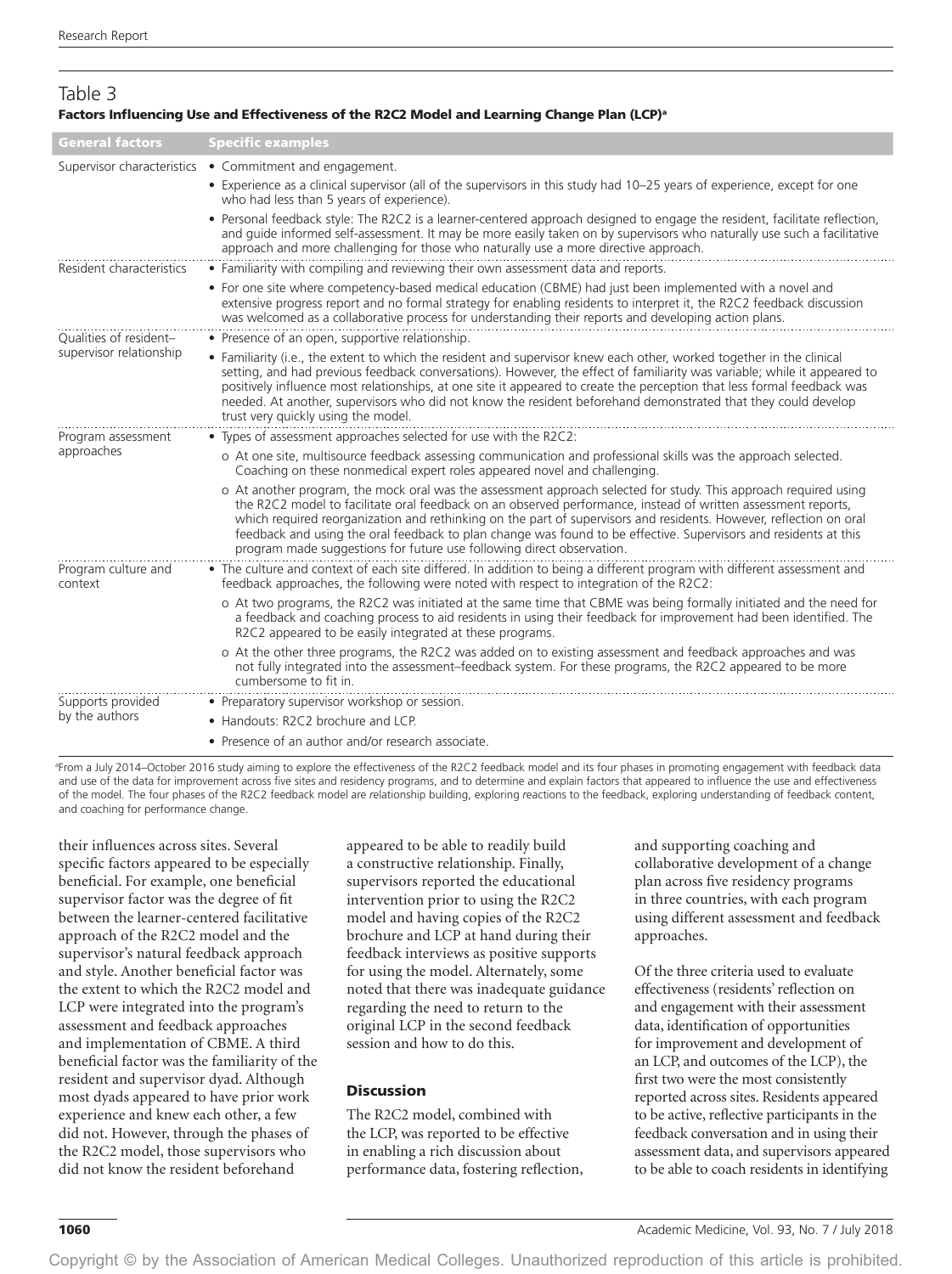## Table 3 Factors Influencing Use and Effectiveness of the R2C2 Model and Learning Change Plan (LCP)<sup>a</sup>

| <b>General factors</b>                            | <b>Specific examples</b>                                                                                                                                                                                                                                                                                                                                                                                                                                                                                                                             |  |  |  |
|---------------------------------------------------|------------------------------------------------------------------------------------------------------------------------------------------------------------------------------------------------------------------------------------------------------------------------------------------------------------------------------------------------------------------------------------------------------------------------------------------------------------------------------------------------------------------------------------------------------|--|--|--|
|                                                   | Supervisor characteristics . Commitment and engagement.                                                                                                                                                                                                                                                                                                                                                                                                                                                                                              |  |  |  |
|                                                   | • Experience as a clinical supervisor (all of the supervisors in this study had 10-25 years of experience, except for one<br>who had less than 5 years of experience).                                                                                                                                                                                                                                                                                                                                                                               |  |  |  |
|                                                   | • Personal feedback style: The R2C2 is a learner-centered approach designed to engage the resident, facilitate reflection,<br>and quide informed self-assessment. It may be more easily taken on by supervisors who naturally use such a facilitative<br>approach and more challenging for those who naturally use a more directive approach.                                                                                                                                                                                                        |  |  |  |
| Resident characteristics                          | • Familiarity with compiling and reviewing their own assessment data and reports.                                                                                                                                                                                                                                                                                                                                                                                                                                                                    |  |  |  |
|                                                   | • For one site where competency-based medical education (CBME) had just been implemented with a novel and<br>extensive progress report and no formal strategy for enabling residents to interpret it, the R2C2 feedback discussion<br>was welcomed as a collaborative process for understanding their reports and developing action plans.                                                                                                                                                                                                           |  |  |  |
| Oualities of resident-<br>supervisor relationship | • Presence of an open, supportive relationship.                                                                                                                                                                                                                                                                                                                                                                                                                                                                                                      |  |  |  |
|                                                   | • Familiarity (i.e., the extent to which the resident and supervisor knew each other, worked together in the clinical<br>setting, and had previous feedback conversations). However, the effect of familiarity was variable; while it appeared to<br>positively influence most relationships, at one site it appeared to create the perception that less formal feedback was<br>needed. At another, supervisors who did not know the resident beforehand demonstrated that they could develop<br>trust very quickly using the model.                 |  |  |  |
| Program assessment<br>approaches                  | • Types of assessment approaches selected for use with the R2C2:                                                                                                                                                                                                                                                                                                                                                                                                                                                                                     |  |  |  |
|                                                   | o At one site, multisource feedback assessing communication and professional skills was the approach selected.<br>Coaching on these nonmedical expert roles appeared novel and challenging.                                                                                                                                                                                                                                                                                                                                                          |  |  |  |
|                                                   | o At another program, the mock oral was the assessment approach selected for study. This approach required using<br>the R2C2 model to facilitate oral feedback on an observed performance, instead of written assessment reports,<br>which required reorganization and rethinking on the part of supervisors and residents. However, reflection on oral<br>feedback and using the oral feedback to plan change was found to be effective. Supervisors and residents at this<br>program made suggestions for future use following direct observation. |  |  |  |
| Program culture and<br>context                    | • The culture and context of each site differed. In addition to being a different program with different assessment and<br>feedback approaches, the following were noted with respect to integration of the R2C2:                                                                                                                                                                                                                                                                                                                                    |  |  |  |
|                                                   | o At two programs, the R2C2 was initiated at the same time that CBME was being formally initiated and the need for<br>a feedback and coaching process to aid residents in using their feedback for improvement had been identified. The<br>R2C2 appeared to be easily integrated at these programs.                                                                                                                                                                                                                                                  |  |  |  |
|                                                   | o At the other three programs, the R2C2 was added on to existing assessment and feedback approaches and was<br>not fully integrated into the assessment-feedback system. For these programs, the R2C2 appeared to be more<br>cumbersome to fit in.                                                                                                                                                                                                                                                                                                   |  |  |  |
| Supports provided<br>by the authors               | • Preparatory supervisor workshop or session.                                                                                                                                                                                                                                                                                                                                                                                                                                                                                                        |  |  |  |
|                                                   | • Handouts: R2C2 brochure and LCP.                                                                                                                                                                                                                                                                                                                                                                                                                                                                                                                   |  |  |  |
|                                                   | • Presence of an author and/or research associate.                                                                                                                                                                                                                                                                                                                                                                                                                                                                                                   |  |  |  |

a From a July 2014–October 2016 study aiming to explore the effectiveness of the R2C2 feedback model and its four phases in promoting engagement with feedback data and use of the data for improvement across five sites and residency programs, and to determine and explain factors that appeared to influence the use and effectiveness of the model. The four phases of the R2C2 feedback model are *r*elationship building, exploring *r*eactions to the feedback, exploring understanding of feedback *c*ontent, and *c*oaching for performance change.

their influences across sites. Several specific factors appeared to be especially beneficial. For example, one beneficial supervisor factor was the degree of fit between the learner-centered facilitative approach of the R2C2 model and the supervisor's natural feedback approach and style. Another beneficial factor was the extent to which the R2C2 model and LCP were integrated into the program's assessment and feedback approaches and implementation of CBME. A third beneficial factor was the familiarity of the resident and supervisor dyad. Although most dyads appeared to have prior work experience and knew each other, a few did not. However, through the phases of the R2C2 model, those supervisors who did not know the resident beforehand

appeared to be able to readily build a constructive relationship. Finally, supervisors reported the educational intervention prior to using the R2C2 model and having copies of the R2C2 brochure and LCP at hand during their feedback interviews as positive supports for using the model. Alternately, some noted that there was inadequate guidance regarding the need to return to the original LCP in the second feedback session and how to do this.

#### **Discussion**

The R2C2 model, combined with the LCP, was reported to be effective in enabling a rich discussion about performance data, fostering reflection, and supporting coaching and collaborative development of a change plan across five residency programs in three countries, with each program using different assessment and feedback approaches.

Of the three criteria used to evaluate effectiveness (residents' reflection on and engagement with their assessment data, identification of opportunities for improvement and development of an LCP, and outcomes of the LCP), the first two were the most consistently reported across sites. Residents appeared to be active, reflective participants in the feedback conversation and in using their assessment data, and supervisors appeared to be able to coach residents in identifying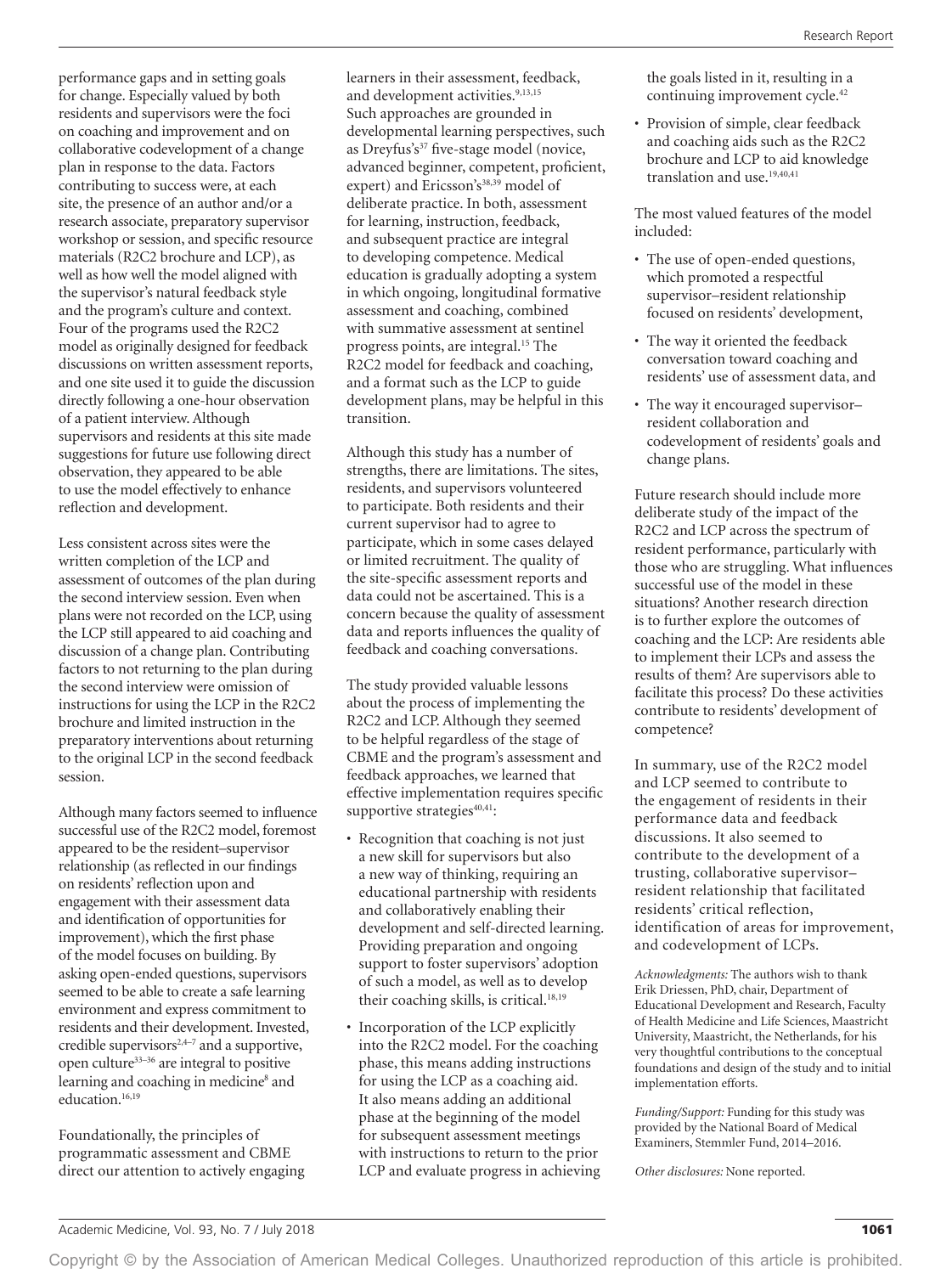performance gaps and in setting goals for change. Especially valued by both residents and supervisors were the foci on coaching and improvement and on collaborative codevelopment of a change plan in response to the data. Factors contributing to success were, at each site, the presence of an author and/or a research associate, preparatory supervisor workshop or session, and specific resource materials (R2C2 brochure and LCP), as well as how well the model aligned with the supervisor's natural feedback style and the program's culture and context. Four of the programs used the R2C2 model as originally designed for feedback discussions on written assessment reports, and one site used it to guide the discussion directly following a one-hour observation of a patient interview. Although supervisors and residents at this site made suggestions for future use following direct observation, they appeared to be able to use the model effectively to enhance reflection and development.

Less consistent across sites were the written completion of the LCP and assessment of outcomes of the plan during the second interview session. Even when plans were not recorded on the LCP, using the LCP still appeared to aid coaching and discussion of a change plan. Contributing factors to not returning to the plan during the second interview were omission of instructions for using the LCP in the R2C2 brochure and limited instruction in the preparatory interventions about returning to the original LCP in the second feedback session.

Although many factors seemed to influence successful use of the R2C2 model, foremost appeared to be the resident–supervisor relationship (as reflected in our findings on residents' reflection upon and engagement with their assessment data and identification of opportunities for improvement), which the first phase of the model focuses on building. By asking open-ended questions, supervisors seemed to be able to create a safe learning environment and express commitment to residents and their development. Invested, credible supervisors<sup>2,4-7</sup> and a supportive, open culture $33-36$  are integral to positive learning and coaching in medicine<sup>8</sup> and education.<sup>16,19</sup>

Foundationally, the principles of programmatic assessment and CBME direct our attention to actively engaging learners in their assessment, feedback, and development activities.<sup>9,13,15</sup> Such approaches are grounded in developmental learning perspectives, such as Dreyfus's<sup>37</sup> five-stage model (novice, advanced beginner, competent, proficient, expert) and Ericsson's<sup>38,39</sup> model of deliberate practice. In both, assessment for learning, instruction, feedback, and subsequent practice are integral to developing competence. Medical education is gradually adopting a system in which ongoing, longitudinal formative assessment and coaching, combined with summative assessment at sentinel progress points, are integral.15 The R2C2 model for feedback and coaching, and a format such as the LCP to guide development plans, may be helpful in this transition.

Although this study has a number of strengths, there are limitations. The sites, residents, and supervisors volunteered to participate. Both residents and their current supervisor had to agree to participate, which in some cases delayed or limited recruitment. The quality of the site-specific assessment reports and data could not be ascertained. This is a concern because the quality of assessment data and reports influences the quality of feedback and coaching conversations.

The study provided valuable lessons about the process of implementing the R2C2 and LCP. Although they seemed to be helpful regardless of the stage of CBME and the program's assessment and feedback approaches, we learned that effective implementation requires specific supportive strategies $40,41$ :

- Recognition that coaching is not just a new skill for supervisors but also a new way of thinking, requiring an educational partnership with residents and collaboratively enabling their development and self-directed learning. Providing preparation and ongoing support to foster supervisors' adoption of such a model, as well as to develop their coaching skills, is critical.<sup>18,19</sup>
- Incorporation of the LCP explicitly into the R2C2 model. For the coaching phase, this means adding instructions for using the LCP as a coaching aid. It also means adding an additional phase at the beginning of the model for subsequent assessment meetings with instructions to return to the prior LCP and evaluate progress in achieving

the goals listed in it, resulting in a continuing improvement cycle.<sup>42</sup>

• Provision of simple, clear feedback and coaching aids such as the R2C2 brochure and LCP to aid knowledge translation and use.<sup>19,40,41</sup>

The most valued features of the model included:

- The use of open-ended questions, which promoted a respectful supervisor–resident relationship focused on residents' development,
- The way it oriented the feedback conversation toward coaching and residents' use of assessment data, and
- The way it encouraged supervisor– resident collaboration and codevelopment of residents' goals and change plans.

Future research should include more deliberate study of the impact of the R2C2 and LCP across the spectrum of resident performance, particularly with those who are struggling. What influences successful use of the model in these situations? Another research direction is to further explore the outcomes of coaching and the LCP: Are residents able to implement their LCPs and assess the results of them? Are supervisors able to facilitate this process? Do these activities contribute to residents' development of competence?

In summary, use of the R2C2 model and LCP seemed to contribute to the engagement of residents in their performance data and feedback discussions. It also seemed to contribute to the development of a trusting, collaborative supervisor– resident relationship that facilitated residents' critical reflection, identification of areas for improvement, and codevelopment of LCPs.

*Acknowledgments:* The authors wish to thank Erik Driessen, PhD, chair, Department of Educational Development and Research, Faculty of Health Medicine and Life Sciences, Maastricht University, Maastricht, the Netherlands, for his very thoughtful contributions to the conceptual foundations and design of the study and to initial implementation efforts.

*Funding/Support:* Funding for this study was provided by the National Board of Medical Examiners, Stemmler Fund, 2014–2016.

*Other disclosures:* None reported.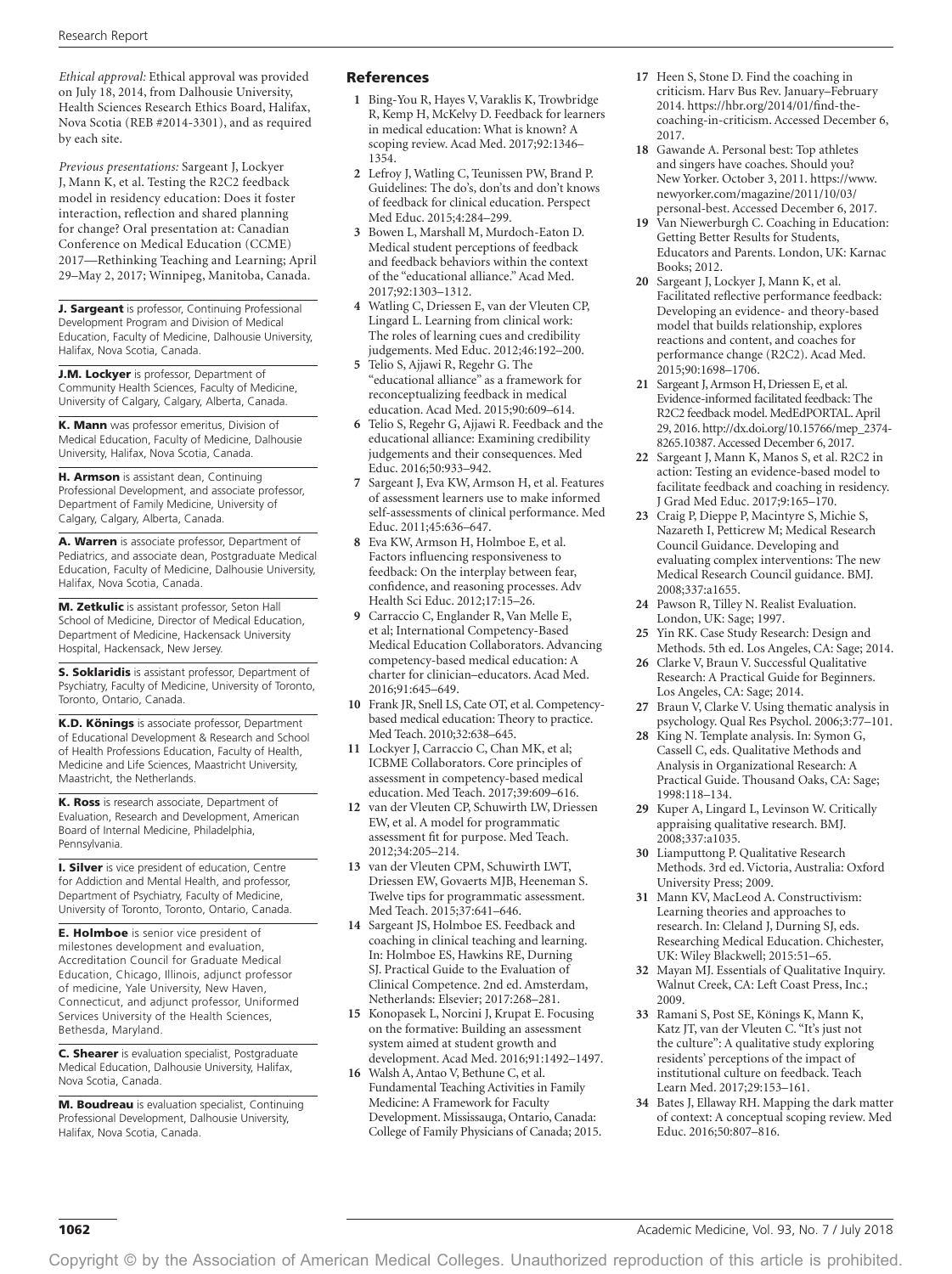*Ethical approval:* Ethical approval was provided on July 18, 2014, from Dalhousie University, Health Sciences Research Ethics Board, Halifax, Nova Scotia (REB #2014-3301), and as required by each site.

*Previous presentations:* Sargeant J, Lockyer J, Mann K, et al. Testing the R2C2 feedback model in residency education: Does it foster interaction, reflection and shared planning for change? Oral presentation at: Canadian Conference on Medical Education (CCME) 2017—Rethinking Teaching and Learning; April 29–May 2, 2017; Winnipeg, Manitoba, Canada.

**J. Sargeant** is professor, Continuing Professional Development Program and Division of Medical Education, Faculty of Medicine, Dalhousie University, Halifax, Nova Scotia, Canada.

J.M. Lockyer is professor, Department of Community Health Sciences, Faculty of Medicine, University of Calgary, Calgary, Alberta, Canada.

K. Mann was professor emeritus, Division of Medical Education, Faculty of Medicine, Dalhousie University, Halifax, Nova Scotia, Canada.

H. Armson is assistant dean, Continuing Professional Development, and associate professor, Department of Family Medicine, University of Calgary, Calgary, Alberta, Canada.

A. Warren is associate professor, Department of Pediatrics, and associate dean, Postgraduate Medical Education, Faculty of Medicine, Dalhousie University, Halifax, Nova Scotia, Canada.

M. Zetkulic is assistant professor, Seton Hall School of Medicine, Director of Medical Education, Department of Medicine, Hackensack University Hospital, Hackensack, New Jersey.

**S. Soklaridis** is assistant professor, Department of Psychiatry, Faculty of Medicine, University of Toronto, Toronto, Ontario, Canada.

K.D. Könings is associate professor, Department of Educational Development & Research and School of Health Professions Education, Faculty of Health, Medicine and Life Sciences, Maastricht University, Maastricht, the Netherlands.

K. Ross is research associate, Department of Evaluation, Research and Development, American Board of Internal Medicine, Philadelphia, Pennsylvania.

**I. Silver** is vice president of education, Centre for Addiction and Mental Health, and professor, Department of Psychiatry, Faculty of Medicine, University of Toronto, Toronto, Ontario, Canada.

**E. Holmboe** is senior vice president of milestones development and evaluation, Accreditation Council for Graduate Medical Education, Chicago, Illinois, adjunct professor of medicine, Yale University, New Haven, Connecticut, and adjunct professor, Uniformed Services University of the Health Sciences, Bethesda, Maryland.

C. Shearer is evaluation specialist, Postgraduate Medical Education, Dalhousie University, Halifax, Nova Scotia, Canada.

**M. Boudreau** is evaluation specialist, Continuing Professional Development, Dalhousie University, Halifax, Nova Scotia, Canada.

#### References

- **1** Bing-You R, Hayes V, Varaklis K, Trowbridge R, Kemp H, McKelvy D. Feedback for learners in medical education: What is known? A scoping review. Acad Med. 2017;92:1346– 1354.
- **2** Lefroy J, Watling C, Teunissen PW, Brand P. Guidelines: The do's, don'ts and don't knows of feedback for clinical education. Perspect Med Educ. 2015;4:284–299.
- **3** Bowen L, Marshall M, Murdoch-Eaton D. Medical student perceptions of feedback and feedback behaviors within the context of the "educational alliance." Acad Med. 2017;92:1303–1312.
- **4** Watling C, Driessen E, van der Vleuten CP, Lingard L. Learning from clinical work: The roles of learning cues and credibility judgements. Med Educ. 2012;46:192–200.
- **5** Telio S, Ajjawi R, Regehr G. The "educational alliance" as a framework for reconceptualizing feedback in medical education. Acad Med. 2015;90:609–614.
- **6** Telio S, Regehr G, Ajjawi R. Feedback and the educational alliance: Examining credibility judgements and their consequences. Med Educ. 2016;50:933–942.
- **7** Sargeant J, Eva KW, Armson H, et al. Features of assessment learners use to make informed self-assessments of clinical performance. Med Educ. 2011;45:636–647.
- **8** Eva KW, Armson H, Holmboe E, et al. Factors influencing responsiveness to feedback: On the interplay between fear, confidence, and reasoning processes. Adv Health Sci Educ. 2012;17:15–26.
- **9** Carraccio C, Englander R, Van Melle E, et al; International Competency-Based Medical Education Collaborators. Advancing competency-based medical education: A charter for clinician–educators. Acad Med. 2016;91:645–649.
- **10** Frank JR, Snell LS, Cate OT, et al. Competencybased medical education: Theory to practice. Med Teach. 2010;32:638–645.
- **11** Lockyer J, Carraccio C, Chan MK, et al; ICBME Collaborators. Core principles of assessment in competency-based medical education. Med Teach. 2017;39:609–616.
- **12** van der Vleuten CP, Schuwirth LW, Driessen EW, et al. A model for programmatic assessment fit for purpose. Med Teach. 2012;34:205–214.
- **13** van der Vleuten CPM, Schuwirth LWT, Driessen EW, Govaerts MJB, Heeneman S. Twelve tips for programmatic assessment. Med Teach. 2015;37:641–646.
- **14** Sargeant JS, Holmboe ES. Feedback and coaching in clinical teaching and learning. In: Holmboe ES, Hawkins RE, Durning SJ. Practical Guide to the Evaluation of Clinical Competence. 2nd ed. Amsterdam, Netherlands: Elsevier; 2017:268–281.
- **15** Konopasek L, Norcini J, Krupat E. Focusing on the formative: Building an assessment system aimed at student growth and development. Acad Med. 2016;91:1492–1497.
- **16** Walsh A, Antao V, Bethune C, et al. Fundamental Teaching Activities in Family Medicine: A Framework for Faculty Development. Mississauga, Ontario, Canada: College of Family Physicians of Canada; 2015.
- **17** Heen S, Stone D. Find the coaching in criticism. Harv Bus Rev. January–February 2014. [https://hbr.org/2014/01/find-the](https://hbr.org/2014/01/find-the-coaching-in-criticism)[coaching-in-criticism](https://hbr.org/2014/01/find-the-coaching-in-criticism). Accessed December 6, 2017.
- **18** Gawande A. Personal best: Top athletes and singers have coaches. Should you? New Yorker. October 3, 2011. [https://www.](https://www.newyorker.com/magazine/2011/10/03/personal-best) [newyorker.com/magazine/2011/10/03/](https://www.newyorker.com/magazine/2011/10/03/personal-best) [personal-best.](https://www.newyorker.com/magazine/2011/10/03/personal-best) Accessed December 6, 2017.
- **19** Van Niewerburgh C. Coaching in Education: Getting Better Results for Students, Educators and Parents. London, UK: Karnac Books; 2012.
- **20** Sargeant J, Lockyer J, Mann K, et al. Facilitated reflective performance feedback: Developing an evidence- and theory-based model that builds relationship, explores reactions and content, and coaches for performance change (R2C2). Acad Med. 2015;90:1698–1706.
- **21** Sargeant J, Armson H, Driessen E, et al. Evidence-informed facilitated feedback: The R2C2 feedback model. MedEdPORTAL. April 29, 2016. [http://dx.doi.org/10.15766/mep\\_2374-](http://dx.doi.org/10.15766/mep_2374-8265.10387) [8265.10387](http://dx.doi.org/10.15766/mep_2374-8265.10387). Accessed December 6, 2017.
- **22** Sargeant J, Mann K, Manos S, et al. R2C2 in action: Testing an evidence-based model to facilitate feedback and coaching in residency. J Grad Med Educ. 2017;9:165–170.
- **23** Craig P, Dieppe P, Macintyre S, Michie S, Nazareth I, Petticrew M; Medical Research Council Guidance. Developing and evaluating complex interventions: The new Medical Research Council guidance. BMJ. 2008;337:a1655.
- **24** Pawson R, Tilley N. Realist Evaluation. London, UK: Sage; 1997.
- **25** Yin RK. Case Study Research: Design and Methods. 5th ed. Los Angeles, CA: Sage; 2014.
- **26** Clarke V, Braun V. Successful Qualitative Research: A Practical Guide for Beginners. Los Angeles, CA: Sage; 2014.
- **27** Braun V, Clarke V. Using thematic analysis in psychology. Qual Res Psychol. 2006;3:77–101.
- **28** King N. Template analysis. In: Symon G, Cassell C, eds. Qualitative Methods and Analysis in Organizational Research: A Practical Guide. Thousand Oaks, CA: Sage; 1998:118–134.
- **29** Kuper A, Lingard L, Levinson W. Critically appraising qualitative research. BMJ. 2008;337:a1035.
- **30** Liamputtong P. Qualitative Research Methods. 3rd ed. Victoria, Australia: Oxford University Press; 2009.
- **31** Mann KV, MacLeod A. Constructivism: Learning theories and approaches to research. In: Cleland J, Durning SJ, eds. Researching Medical Education. Chichester, UK: Wiley Blackwell; 2015:51–65.
- **32** Mayan MJ. Essentials of Qualitative Inquiry. Walnut Creek, CA: Left Coast Press, Inc.; 2009.
- **33** Ramani S, Post SE, Könings K, Mann K, Katz JT, van der Vleuten C. "It's just not the culture": A qualitative study exploring residents' perceptions of the impact of institutional culture on feedback. Teach Learn Med. 2017;29:153–161.
- **34** Bates J, Ellaway RH. Mapping the dark matter of context: A conceptual scoping review. Med Educ. 2016;50:807–816.